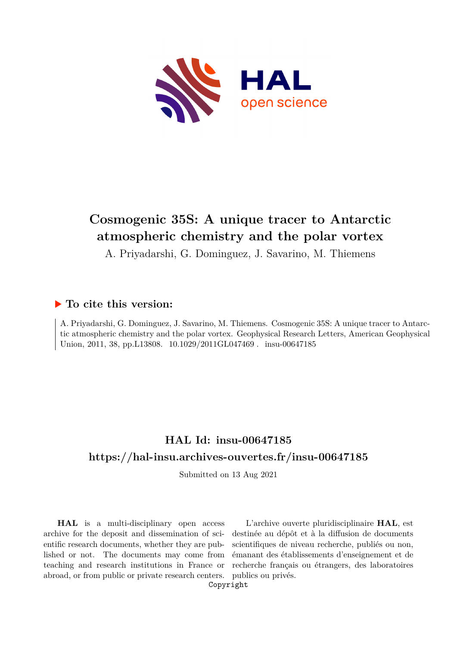

# **Cosmogenic 35S: A unique tracer to Antarctic atmospheric chemistry and the polar vortex**

A. Priyadarshi, G. Dominguez, J. Savarino, M. Thiemens

## **To cite this version:**

A. Priyadarshi, G. Dominguez, J. Savarino, M. Thiemens. Cosmogenic 35S: A unique tracer to Antarctic atmospheric chemistry and the polar vortex. Geophysical Research Letters, American Geophysical Union, 2011, 38, pp.L13808. 10.1029/2011GL047469. insu-00647185

# **HAL Id: insu-00647185 <https://hal-insu.archives-ouvertes.fr/insu-00647185>**

Submitted on 13 Aug 2021

**HAL** is a multi-disciplinary open access archive for the deposit and dissemination of scientific research documents, whether they are published or not. The documents may come from teaching and research institutions in France or abroad, or from public or private research centers.

L'archive ouverte pluridisciplinaire **HAL**, est destinée au dépôt et à la diffusion de documents scientifiques de niveau recherche, publiés ou non, émanant des établissements d'enseignement et de recherche français ou étrangers, des laboratoires publics ou privés.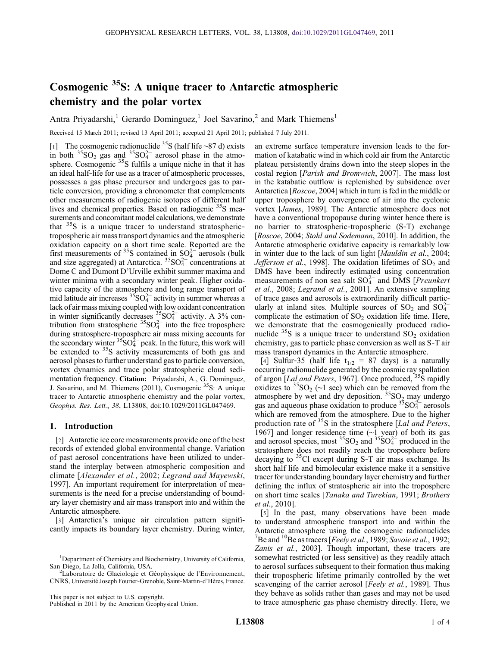# Cosmogenic 35S: A unique tracer to Antarctic atmospheric chemistry and the polar vortex

Antra Priyadarshi,<sup>1</sup> Gerardo Dominguez,<sup>1</sup> Joel Savarino,<sup>2</sup> and Mark Thiemens<sup>1</sup>

Received 15 March 2011; revised 13 April 2011; accepted 21 April 2011; published 7 July 2011.

[1] The cosmogenic radionuclide 35S (half life ∼87 d) exists in both  ${}^{35}SO_2$  gas and  ${}^{35}SO_4^{2-}$  aerosol phase in the atmosphere. Cosmogenic <sup>35</sup>S fulfils a unique niche in that it has an ideal half‐life for use as a tracer of atmospheric processes, possesses a gas phase precursor and undergoes gas to particle conversion, providing a chronometer that complements other measurements of radiogenic isotopes of different half lives and chemical properties. Based on radiogenic <sup>35</sup>S measurements and concomitant model calculations, we demonstrate that  $35S$  is a unique tracer to understand stratospherictropospheric air mass transport dynamics and the atmospheric oxidation capacity on a short time scale. Reported are the first measurements of <sup>35</sup>S contained in  $SO_4^{2-}$  aerosols (bulk and size aggregated) at Antarctica.  ${}^{35}SO_4^{2-}$  concentrations at Dome C and Dumont D'Urville exhibit summer maxima and winter minima with a secondary winter peak. Higher oxidative capacity of the atmosphere and long range transport of mid latitude air increases  ${}^{35}SO_4^{2-}$  activity in summer whereas a lack of air mass mixing coupled with low oxidant concentration in winter significantly decreases  ${}^{35}_{8}SO_4^{2-}$  activity. A 3% contribution from stratospheric  $35\text{SO}_4^{2-}$  into the free troposphere during stratosphere‐troposphere air mass mixing accounts for the secondary winter  ${}^{35}SO_4^{2-}$  peak. In the future, this work will be extended to  $35S$  activity measurements of both gas and aerosol phases to further understand gas to particle conversion, vortex dynamics and trace polar stratospheric cloud sedimentation frequency. Citation: Priyadarshi, A., G. Dominguez, J. Savarino, and M. Thiemens (2011), Cosmogenic <sup>35</sup>S: A unique tracer to Antarctic atmospheric chemistry and the polar vortex, Geophys. Res. Lett., 38, L13808, doi:10.1029/2011GL047469.

### 1. Introduction

[2] Antarctic ice core measurements provide one of the best records of extended global environmental change. Variation of past aerosol concentrations have been utilized to understand the interplay between atmospheric composition and climate [Alexander et al., 2002; Legrand and Mayewski, 1997]. An important requirement for interpretation of measurements is the need for a precise understanding of boundary layer chemistry and air mass transport into and within the Antarctic atmosphere.

[3] Antarctica's unique air circulation pattern significantly impacts its boundary layer chemistry. During winter,

an extreme surface temperature inversion leads to the formation of katabatic wind in which cold air from the Antarctic plateau persistently drains down into the steep slopes in the costal region [Parish and Bromwich, 2007]. The mass lost in the katabatic outflow is replenished by subsidence over Antarctica [Roscoe, 2004] which in turn is fed in the middle or upper troposphere by convergence of air into the cyclonic vortex [James, 1989]. The Antarctic atmosphere does not have a conventional tropopause during winter hence there is no barrier to stratospheric‐tropospheric (S‐T) exchange [Roscoe, 2004; Stohl and Sodemann, 2010]. In addition, the Antarctic atmospheric oxidative capacity is remarkably low in winter due to the lack of sun light [Mauldin et al., 2004; *Jefferson et al.*, 1998]. The oxidation lifetimes of  $SO<sub>2</sub>$  and DMS have been indirectly estimated using concentration measurements of non sea salt  $SO_4^{2-}$  and DMS [*Preunkert* et al., 2008; Legrand et al., 2001]. An extensive sampling of trace gases and aerosols is extraordinarily difficult particularly at inland sites. Multiple sources of SO<sub>2</sub> and SO<sub>4</sub><sup>2</sup> complicate the estimation of  $SO<sub>2</sub>$  oxidation life time. Here, we demonstrate that the cosmogenically produced radionuclide  $35S$  is a unique tracer to understand  $SO<sub>2</sub>$  oxidation chemistry, gas to particle phase conversion as well as S‐T air mass transport dynamics in the Antarctic atmosphere.

[4] Sulfur-35 (half life  $t_{1/2}$  = 87 days) is a naturally occurring radionuclide generated by the cosmic ray spallation of argon [Lal and Peters, 1967]. Once produced, <sup>35</sup>S rapidly oxidizes to  $35SO_2$  (∼1 sec) which can be removed from the atmosphere by wet and dry deposition.  ${}^{35}SO_2$  may undergo gas and aqueous phase oxidation to produce  $35\text{SO}_4^{2-}$  aerosols which are removed from the atmosphere. Due to the higher production rate of  $35S$  in the stratosphere [Lal and Peters, 1967] and longer residence time (∼1 year) of both its gas and aerosol species, most  ${}^{35}SO_2$  and  ${}^{35}SO_4^{2-}$  produced in the stratosphere does not readily reach the troposphere before decaying to  $35$ Cl except during S-T air mass exchange. Its short half life and bimolecular existence make it a sensitive tracer for understanding boundary layer chemistry and further defining the influx of stratospheric air into the troposphere on short time scales [Tanaka and Turekian, 1991; Brothers et al., 2010].

[5] In the past, many observations have been made to understand atmospheric transport into and within the Antarctic atmosphere using the cosmogenic radionuclides <sup>7</sup>Be and <sup>10</sup>Be as tracers [*Feely et al.*, 1989; Savoie et al., 1992; Zanis et al., 2003]. Though important, these tracers are somewhat restricted (or less sensitive) as they readily attach to aerosol surfaces subsequent to their formation thus making their tropospheric lifetime primarily controlled by the wet scavenging of the carrier aerosol [Feely et al., 1989]. Thus they behave as solids rather than gases and may not be used to trace atmospheric gas phase chemistry directly. Here, we

<sup>&</sup>lt;sup>1</sup>Department of Chemistry and Biochemistry, University of California, San Diego, La Jolla, California, USA. <sup>2</sup>

 $2$ Laboratoire de Glaciologie et Géophysique de l'Environnement, CNRS, Université Joseph Fourier‐Grenoble, Saint‐Martin‐d'Hères, France.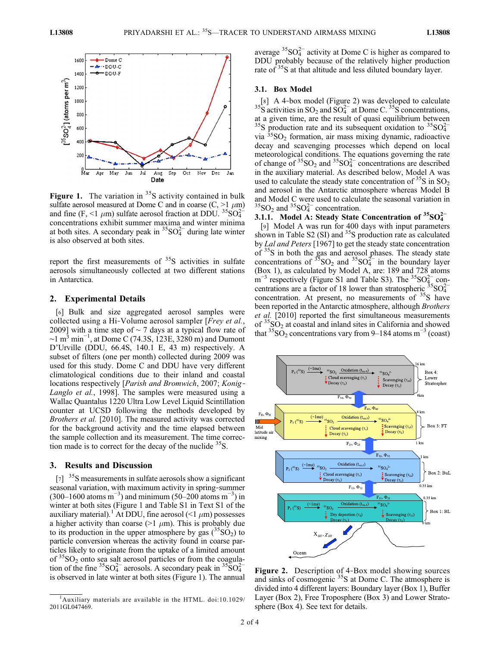

Figure 1. The variation in  $35S$  activity contained in bulk sulfate aerosol measured at Dome C and in coarse  $(C, \geq 1 \mu m)$ and fine (F, <1  $\mu$ m) sulfate aerosol fraction at DDU. <sup>35</sup>SO<sub>4</sub><sup>-2</sup> concentrations exhibit summer maxima and winter minima at both sites. A secondary peak in  ${}^{35}SO_4^{2-}$  during late winter is also observed at both sites.

report the first measurements of  $35S$  activities in sulfate aerosols simultaneously collected at two different stations in Antarctica.

#### 2. Experimental Details

[6] Bulk and size aggregated aerosol samples were collected using a Hi-Volume aerosol sampler [Frey et al., 2009] with a time step of ∼ 7 days at a typical flow rate of  $\sim$ 1 m<sup>3</sup> min<sup>-1</sup>, at Dome C (74.3S, 123E, 3280 m) and Dumont D'Urville (DDU, 66.4S, 140.1 E, 43 m) respectively. A subset of filters (one per month) collected during 2009 was used for this study. Dome C and DDU have very different climatological conditions due to their inland and coastal locations respectively [Parish and Bromwich, 2007; Konig-Langlo et al., 1998]. The samples were measured using a Wallac Quantalus 1220 Ultra Low Level Liquid Scintillation counter at UCSD following the methods developed by Brothers et al. [2010]. The measured activity was corrected for the background activity and the time elapsed between the sample collection and its measurement. The time correction made is to correct for the decay of the nuclide  $35S$ .

### 3. Results and Discussion

 $\begin{bmatrix} 7 \end{bmatrix}$  <sup>35</sup>S measurements in sulfate aerosols show a significant seasonal variation, with maximum activity in spring‐summer  $(300-1600 \text{ atoms m}^{-3})$  and minimum  $(50-200 \text{ atoms m}^{-3})$  in winter at both sites (Figure 1 and Table S1 in Text S1 of the auxiliary material).<sup>1</sup> At DDU, fine aerosol (<1  $\mu$ m) possesses a higher activity than coarse ( $>1$   $\mu$ m). This is probably due to its production in the upper atmosphere by gas  $(^{35}SO_2)$  to particle conversion whereas the activity found in coarse particles likely to originate from the uptake of a limited amount of  ${}^{35}SO_2$  onto sea salt aerosol particles or from the coagulation of the fine  ${}^{35}SO_4^{2-}$  aerosols. A secondary peak in  ${}^{35}SO_4^{2-}$ is observed in late winter at both sites (Figure 1). The annual

average  ${}^{35}SO_4^{2-}$  activity at Dome C is higher as compared to DDU probably because of the relatively higher production rate of <sup>35</sup>S at that altitude and less diluted boundary layer.

#### 3.1. Box Model

 $[8]$  A 4-box model (Figure 2) was developed to calculate 3<sup>5</sup>S activities in SO<sub>2</sub> and SO<sub>4</sub><sup>-</sup> at Dome C.<sup>35</sup>S concentrations, at a given time, are the result of quasi equilibrium between <sup>35</sup>S production rate and its subsequent oxidation to <sup>35</sup>SO<sub>4</sub><sup>2</sup> via  ${}^{35}SO_2$  formation, air mass mixing dynamic, radioactive decay and scavenging processes which depend on local meteorological conditions. The equations governing the rate of change of  ${}^{35}SO_2$  and  ${}^{35}SO_4^{2-}$  concentrations are described in the auxiliary material. As described below, Model A was used to calculate the steady state concentration of  ${}^{35}S$  in  $SO_2$ and aerosol in the Antarctic atmosphere whereas Model B and Model C were used to calculate the seasonal variation in  ${}^{35}SO_2$  and  ${}^{35}SO_4^{2-}$  concentration.

## 3.1.1. Model A: Steady State Concentration of  $35SO_4^{2-}$

[9] Model A was run for 400 days with input parameters shown in Table S2 (SI) and  $35S$  production rate as calculated by Lal and Peters [1967] to get the steady state concentration of <sup>35</sup>S in both the gas and aerosol phases. The steady state concentrations of  $\frac{35}{15}SO_2$  and  $\frac{35}{15}SO_4^2$  in the boundary layer (Box 1), as calculated by Model A, are: 189 and 728 atoms  $\text{m}^{-3}$  respectively (Figure S1 and Table S3). The <sup>35</sup>SO $_{4}^{2-}$  concentrations are a factor of 18 lower than stratospheric  $\frac{35}{5}SO_4^{2-}$ concentration. At present, no measurements of <sup>35</sup>S have been reported in the Antarctic atmosphere, although Brothers et al. [2010] reported the first simultaneous measurements of  ${}^{35}SO_2$  at coastal and inland sites in California and showed that  ${}^{35}SO_2$  concentrations vary from 9–184 atoms m<sup>-3</sup> (coast)



Figure 2. Description of 4-Box model showing sources and sinks of cosmogenic  $35S$  at Dome C. The atmosphere is divided into 4 different layers: Boundary layer (Box 1), Buffer Layer (Box 2), Free Troposphere (Box 3) and Lower Stratosphere (Box 4). See text for details.

<sup>&</sup>lt;sup>1</sup>Auxiliary materials are available in the HTML. doi:10.1029/ 2011GL047469.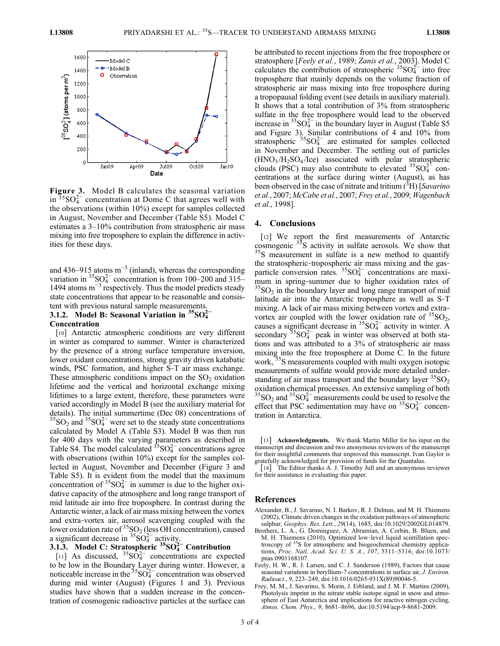

Figure 3. Model B calculates the seasonal variation in  $35\text{SO}_4^{2-}$  concentration at Dome C that agrees well with the observations (within 10%) except for samples collected in August, November and December (Table S5). Model C estimates a 3–10% contribution from stratospheric air mass mixing into free troposphere to explain the difference in activities for these days.

and 436–915 atoms  $m^{-3}$  (inland), whereas the corresponding variation in  ${}^{35}SO_4^{2-}$  concentration is from 100–200 and 315– 1494 atoms  $m^{-3}$  respectively. Thus the model predicts steady state concentrations that appear to be reasonable and consistent with previous natural sample measurements.

### 3.1.2. Model B: Seasonal Variation in  ${}^{35}SO_4^{2-}$ Concentration

[10] Antarctic atmospheric conditions are very different in winter as compared to summer. Winter is characterized by the presence of a strong surface temperature inversion, lower oxidant concentrations, strong gravity driven katabatic winds, PSC formation, and higher S‐T air mass exchange. These atmospheric conditions impact on the  $SO<sub>2</sub>$  oxidation lifetime and the vertical and horizontal exchange mixing lifetimes to a large extent, therefore, these parameters were varied accordingly in Model B (see the auxiliary material for details). The initial summertime (Dec 08) concentrations of  ${}^{35}SO_2$  and  ${}^{35}SO_4^{2-}$  were set to the steady state concentrations calculated by Model A (Table S3). Model B was then run for 400 days with the varying parameters as described in Table S4. The model calculated  $35\text{SO}_4^{2-}$  concentrations agree with observations (within 10%) except for the samples collected in August, November and December (Figure 3 and Table S5). It is evident from the model that the maximum concentration of  ${}^{35}SO_4^{2-}$  in summer is due to the higher oxidative capacity of the atmosphere and long range transport of mid latitude air into free troposphere. In contrast during the Antarctic winter, a lack of air mass mixing between the vortex and extra‐vortex air, aerosol scavenging coupled with the lower oxidation rate of  ${}^{35}$ SO<sub>2</sub> (less OH concentration), caused a significant decrease in  ${}^{35}SO_4^{2-}$  activity.

## 3.1.3. Model C: Stratospheric  $35SO<sub>4</sub><sup>2–</sup>$  Contribution

[11] As discussed,  ${}^{35}S_4O_4^{2-}$  concentrations are expected to be low in the Boundary Layer during winter. However, a noticeable increase in the  $35\text{SO}_4^{2-}$  concentration was observed during mid winter (August) (Figures 1 and 3). Previous studies have shown that a sudden increase in the concentration of cosmogenic radioactive particles at the surface can be attributed to recent injections from the free troposphere or stratosphere [Feely et al., 1989; Zanis et al., 2003]. Model C calculates the contribution of stratospheric  $35\text{SO}_4^{2-}$  into free troposphere that mainly depends on the volume fraction of stratospheric air mass mixing into free troposphere during a tropopausal folding event (see details in auxiliary material). It shows that a total contribution of 3% from stratospheric sulfate in the free troposphere would lead to the observed increase in  ${}^{35}SO_4^{2-}$  in the boundary layer in August (Table S5 and Figure 3). Similar contributions of 4 and 10% from stratospheric  $35\text{SO}_4^{2-}$  are estimated for samples collected in November and December. The settling out of particles  $(HNO<sub>3</sub>/H<sub>2</sub>SO<sub>4</sub>/Ice)$  associated with polar stratospheric clouds (PSC) may also contribute to elevated  ${}^{35}SO_4^{2-}$  concentrations at the surface during winter (August), as has been observed in the case of nitrate and tritium  $({}^{3}H)$  [Savarino] et al., 2007; McCabe et al., 2007; Frey et al., 2009; Wagenbach et al., 1998].

#### 4. Conclusions

[12] We report the first measurements of Antarctic cosmogenic  $35S$  activity in sulfate aerosols. We show that  $35S$  measurement in sulfate is a new method to quantify the stratospheric-tropospheric air mass mixing and the gasparticle conversion rates.  ${}^{35}SO_4^{2-}$  concentrations are maximum in spring-summer due to higher oxidation rates of  ${}^{35}SO_2$  in the boundary layer and long range transport of mid latitude air into the Antarctic troposphere as well as S‐T mixing. A lack of air mass mixing between vortex and extravortex air coupled with the lower oxidation rate of  ${}^{35}SO_2$ , causes a significant decrease in  ${}^{35}SO_4^{2-}$  activity in winter. A secondary  ${}^{35}SO_4^{2-}$  peak in winter was observed at both stations and was attributed to a 3% of stratospheric air mass mixing into the free troposphere at Dome C. In the future work, <sup>35</sup>S measurements coupled with multi oxygen isotopic measurements of sulfate would provide more detailed understanding of air mass transport and the boundary layer  ${}^{35}SO_2$ oxidation chemical processes. An extensive sampling of both  ${}^{35}SO_2$  and  ${}^{35}SO_4^{2-}$  measurements could be used to resolve the effect that PSC sedimentation may have on  ${}^{35}SO_4^{2-}$  concentration in Antarctica.

[13] Acknowledgments. We thank Martin Miller for his input on the manuscript and discussion and two anonymous reviewers of the manuscript for their insightful comments that improved this manuscript. Ivan Gaylor is gratefully acknowledged for provision of funds for the Quantalus.

[14] The Editor thanks A. J. Timothy Jull and an anonymous reviewer for their assistance in evaluating this paper.

#### References

- Alexander, B., J. Savarino, N. I. Barkov, R. J. Delmas, and M. H. Thiemens (2002), Climate driven changes in the oxidation pathways of atmospheric sulphur, Geophys. Res. Lett., 29(14), 1685, doi:10.1029/2002GL014879.
- Brothers, L. A., G. Dominguez, A. Abramian, A. Corbin, B. Bluen, and M. H. Thiemens (2010), Optimized low‐level liquid scintillation spectroscopy of 35S for atmospheric and biogeochemical chemistry applications, Proc. Natl. Acad. Sci. U. S. A., 107, 5311–5316, doi:10.1073/ pnas.0901168107.
- Feely, H. W., R. J. Larsen, and C. J. Sanderson (1989), Factors that cause seasonal variations in beryllium-7 concentrations in surface air, J. Environ. Radioact., 9, 223–249, doi:10.1016/0265-931X(89)90046-5.
- Frey, M. M., J. Savarino, S. Morin, J. Erbland, and J. M. F. Martins (2009), Photolysis imprint in the nitrate stable isotope signal in snow and atmosphere of East Antarctica and implications for reactive nitrogen cycling, Atmos. Chem. Phys., 9, 8681–8696, doi:10.5194/acp-9-8681-2009.